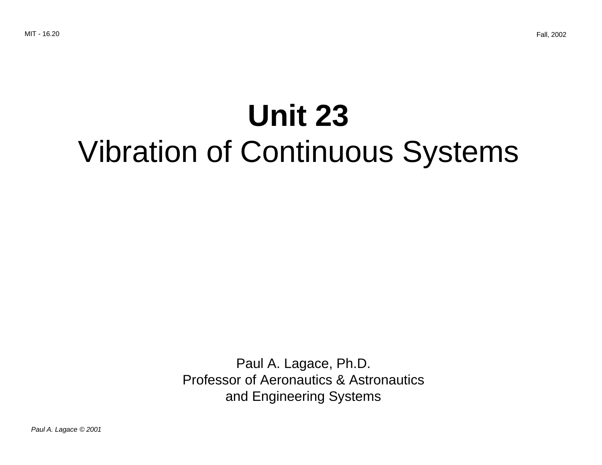# **Unit 23** Vibration of Continuous Systems

Paul A. Lagace, Ph.D. Professor of Aeronautics & Astronautics and Engineering Systems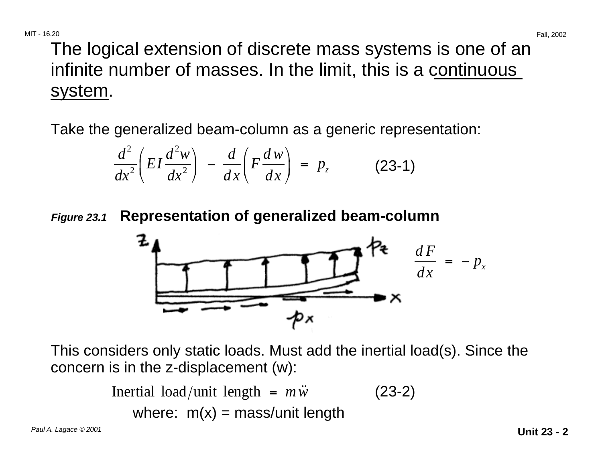The logical extension of discrete mass systems is one of an infinite number of masses. In the limit, this is a continuous system.

Take the generalized beam-column as a generic representation:

$$
\frac{d^2}{dx^2}\left(EI\frac{d^2w}{dx^2}\right) - \frac{d}{dx}\left(F\frac{dw}{dx}\right) = p_z \qquad (23-1)
$$

**Figure 23.1 Representation of generalized beam-column** 



This considers only static loads. Must add the inertial load(s). Since the concern is in the z-displacement (w):

```
Inertial load/unit length = m\ddot{w} (23-2)
   where: m(x) = \text{mass/unit length}
```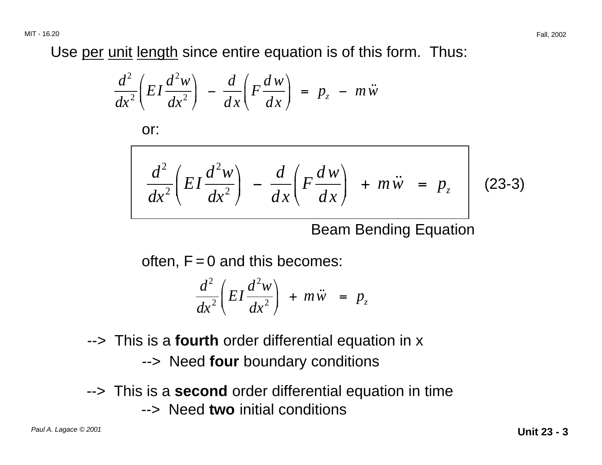Use per unit length since entire equation is of this form. Thus:

$$
\frac{d^2}{dx^2}\left(EI\frac{d^2w}{dx^2}\right) - \frac{d}{dx}\left(F\frac{dw}{dx}\right) = p_z - m\ddot{w}
$$

or:

$$
\frac{d^2}{dx^2}\left(EI\frac{d^2w}{dx^2}\right) - \frac{d}{dx}\left(F\frac{dw}{dx}\right) + m\ddot{w} = p_z
$$
 (23-3)

Beam Bending Equation

often,  $F = 0$  and this becomes:

$$
\frac{d^2}{dx^2}\left(EI\frac{d^2w}{dx^2}\right) + m\ddot{w} = p_z
$$

- --> This is a **fourth** order differential equation in x
	- --> Need **four** boundary conditions
- --> This is a **second** order differential equation in time --> Need **two** initial conditions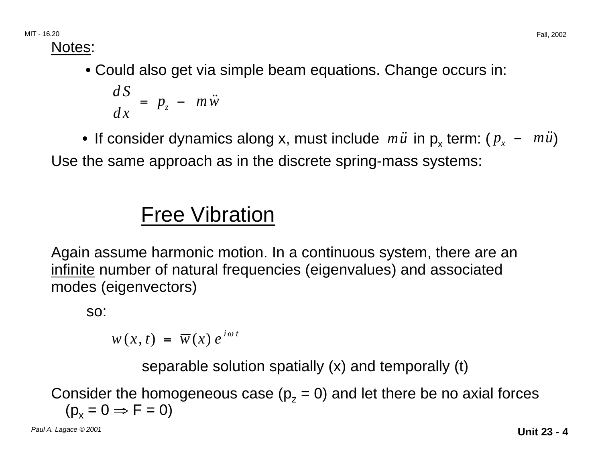Notes:

**•** Could also get via simple beam equations. Change occurs in:

$$
\frac{dS}{dx} = p_z - m\ddot{w}
$$

• If consider dynamics along x, must include *mu*<sup>i</sup> in p<sub>x</sub> term: ( $p_x - m\ddot{u}$ ) Use the same approach as in the discrete spring-mass systems:

# Free Vibration

Again assume harmonic motion. In a continuous system, there are an infinite number of natural frequencies (eigenvalues) and associated modes (eigenvectors)

so:

 $w(x, t) = \overline{w}(x) e^{i\omega t}$ 

separable solution spatially (x) and temporally (t)

Consider the homogeneous case  $(p_z = 0)$  and let there be no axial forces  $(p_x = 0 \Rightarrow F = 0)$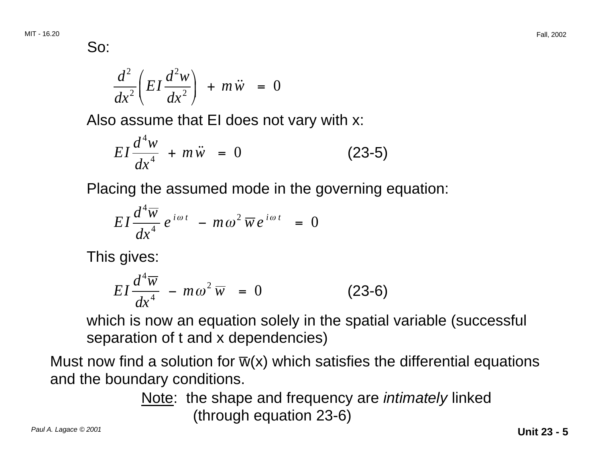So:

$$
\frac{d^2}{dx^2}\left(EI\frac{d^2w}{dx^2}\right) + m\ddot{w} = 0
$$

Also assume that EI does not vary with x:

$$
EI\frac{d^4w}{dx^4} + m\ddot{w} = 0
$$
 (23-5)

Placing the assumed mode in the governing equation:

$$
EI\frac{d^4\overline{w}}{dx^4}e^{i\omega t} - m\omega^2\overline{w}e^{i\omega t} = 0
$$

This gives:

$$
EI\frac{d^4\overline{w}}{dx^4} - m\omega^2\overline{w} = 0
$$
 (23-6)

which is now an equation solely in the spatial variable (successful separation of t and x dependencies)

Must now find a solution for  $\overline{w}(x)$  which satisfies the differential equations and the boundary conditions.

> Note: the shape and frequency are *intimately* linked (through equation 23-6)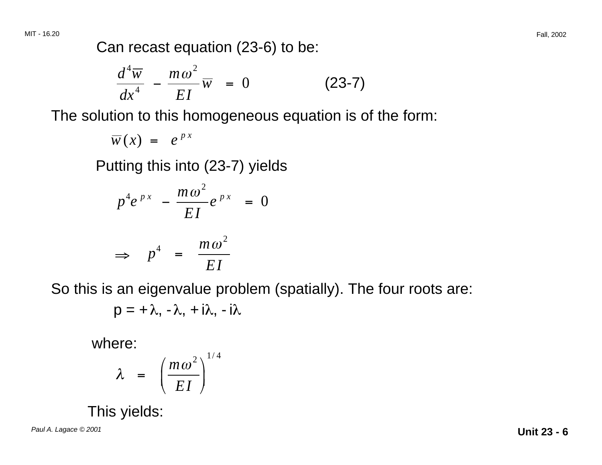Can recast equation (23-6) to be:

$$
\frac{d^4\overline{w}}{dx^4} - \frac{m\omega^2}{EI}\overline{w} = 0
$$
 (23-7)

The solution to this homogeneous equation is of the form:

$$
\overline{w}(x) = e^{px}
$$

Putting this into (23-7) yields

$$
p^4 e^{px} - \frac{m\omega^2}{EI} e^{px} = 0
$$
  

$$
\Rightarrow p^4 = \frac{m\omega^2}{EI}
$$

So this is an eigenvalue problem (spatially). The four roots are:

$$
p=+\lambda,\,-\lambda,\,+i\lambda,\,-i\lambda
$$

where:

$$
\lambda = \left(\frac{m\omega^2}{EI}\right)^{1/4}
$$

This yields:

Paul A. Lagace © 2001 **Unit 23 - 6**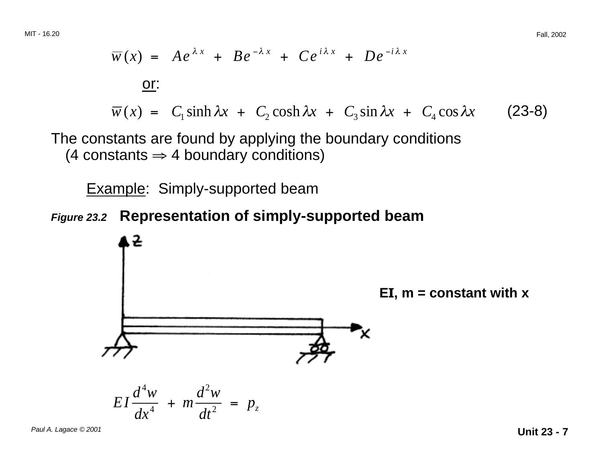$$
\overline{w}(x) = Ae^{\lambda x} + Be^{-\lambda x} + Ce^{i\lambda x} + De^{-i\lambda x}
$$
  
\nor:  
\n
$$
\overline{w}(x) = C_1 \sinh \lambda x + C_2 \cosh \lambda x + C_3 \sin \lambda x + C_4 \cos \lambda x
$$
 (23-8)

The constants are found by applying the boundary conditions (4 constants  $\Rightarrow$  4 boundary conditions)

Example: Simply-supported beam

#### **Figure 23.2 Representation of simply-supported beam**

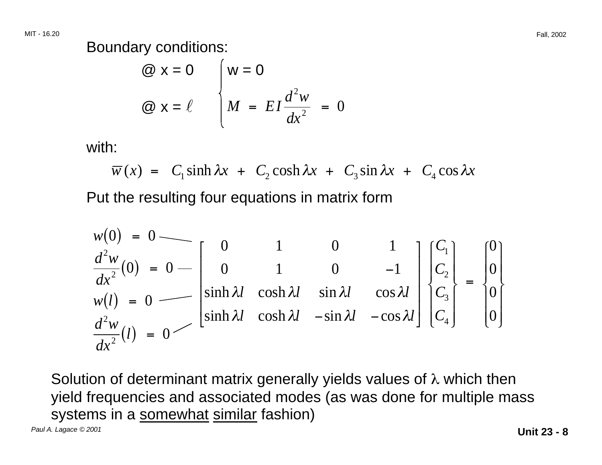Boundary conditions:

$$
\begin{aligned}\n\textcircled{a} \mathbf{x} &= 0 \\
\textcircled{b} \mathbf{x} &= \ell\n\end{aligned}\n\quad\n\begin{cases}\n\mathbf{w} &= 0 \\
M &= EI \frac{d^2 w}{dx^2} = 0\n\end{cases}
$$

with:

$$
\overline{w}(x) = C_1 \sinh \lambda x + C_2 \cosh \lambda x + C_3 \sin \lambda x + C_4 \cos \lambda x
$$

Put the resulting four equations in matrix form

$$
w(0) = 0
$$
  
\n
$$
\frac{d^2w}{dx^2}(0) = 0
$$
  
\n
$$
w(l) = 0
$$
  
\n
$$
w(l) = 0
$$
  
\n
$$
\begin{bmatrix} 0 & 1 & 0 & 1 \\ 0 & 1 & 0 & -1 \\ \sinh \lambda l & \cosh \lambda l & \sin \lambda l & \cos \lambda l \\ \sinh \lambda l & \cosh \lambda l & -\sin \lambda l & -\cos \lambda l \end{bmatrix} \begin{bmatrix} C_1 \\ C_2 \\ C_3 \\ C_4 \end{bmatrix} = \begin{bmatrix} 0 \\ 0 \\ 0 \\ 0 \end{bmatrix}
$$

Solution of determinant matrix generally yields values of  $\lambda$  which then yield frequencies and associated modes (as was done for multiple mass systems in a somewhat similar fashion)

Paul A. Lagace © 2001 **Unit 23 - 8**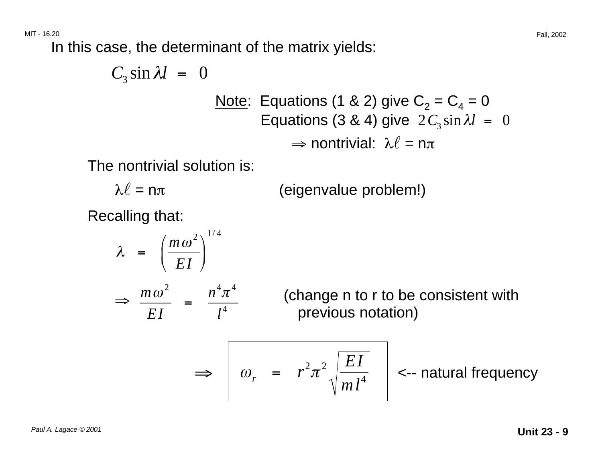In this case, the determinant of the matrix yields:

$$
C_3 \sin \lambda l = 0
$$
  
\nNote: Equations (1 & 2) give C<sub>2</sub> = C<sub>4</sub> = 0  
\nEquations (3 & 4) give 2C<sub>3</sub> sin  $\lambda l$  = 0  
\n
$$
\Rightarrow
$$
 nontrivial:  $\lambda l = n\pi$ 

The nontrivial solution is:

$$
\lambda \ell = n\pi
$$
 (eigenvalue problem!)

Recalling that:

$$
\lambda = \left(\frac{m\omega^2}{EI}\right)^{1/4}
$$
\n
$$
\Rightarrow \frac{m\omega^2}{EI} = \frac{n^4\pi^4}{l^4}
$$
 (change n to r to be consistent with previous notation)\n
$$
\Rightarrow \omega_r = r^2\pi^2 \sqrt{\frac{EI}{ml^4}}
$$
\n
$$
\Rightarrow \omega_r = r^2\pi^2 \sqrt{\frac{EI}{ml^4}}
$$
\n
$$
\Rightarrow \omega_r = r^2\pi^2 \sqrt{\frac{EI}{ml^4}}
$$
\n
$$
\Rightarrow \omega_r = r^2\pi^2 \sqrt{\frac{EI}{ml^4}}
$$
\n
$$
\Rightarrow \omega_r = r^2\pi^2 \sqrt{\frac{EI}{ml^4}}
$$
\n
$$
\Rightarrow \omega_r = r^2\pi^2 \sqrt{\frac{EI}{ml^4}}
$$
\n
$$
\Rightarrow \omega_r = r^2\pi^2 \sqrt{\frac{EI}{ml^4}}
$$
\n
$$
\Rightarrow \omega_r = r^2\pi^2 \sqrt{\frac{EI}{ml^4}}
$$
\n
$$
\Rightarrow \omega_r = r^2\pi^2 \sqrt{\frac{EI}{ml^4}}
$$
\n
$$
\Rightarrow \omega_r = r^2\pi^2 \sqrt{\frac{EI}{ml^4}}
$$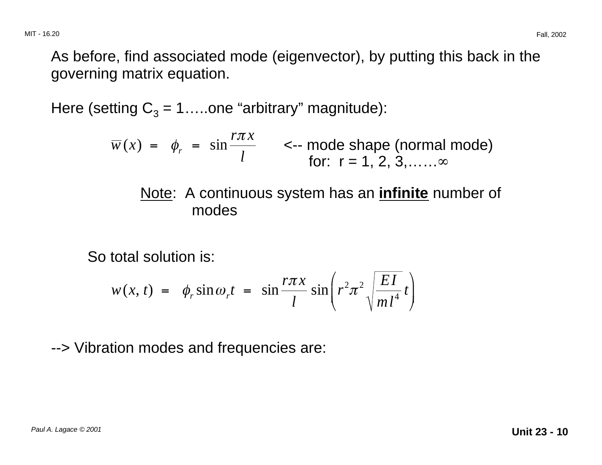As before, find associated mode (eigenvector), by putting this back in the governing matrix equation.

Here (setting  $C_3 = 1$ ....one "arbitrary" magnitude):

*rx*  π  $\overline{w}(x) = \phi_r = \sin \frac{n \pi x}{l}$  <-- mode shape (normal mode) *for*: r = 1, 2, 3,……∞

#### Note: A continuous system has an **infinite** number of modes

So total solution is:

$$
w(x, t) = \phi_r \sin \omega_r t = \sin \frac{r \pi x}{l} \sin \left( r^2 \pi^2 \sqrt{\frac{EI}{m l^4}} t \right)
$$

--> Vibration modes and frequencies are: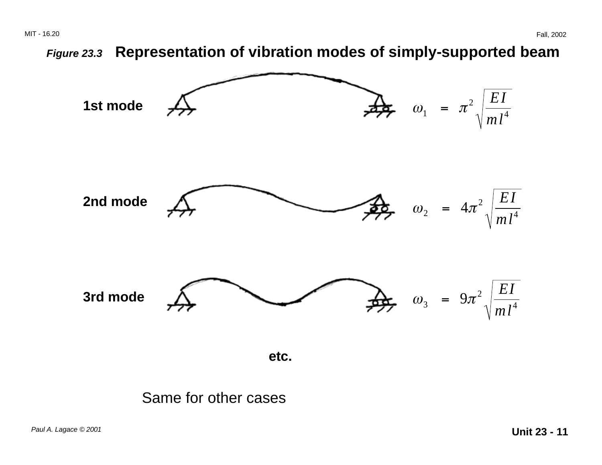**Figure 23.3 Representation of vibration modes of simply-supported beam** 



#### Same for other cases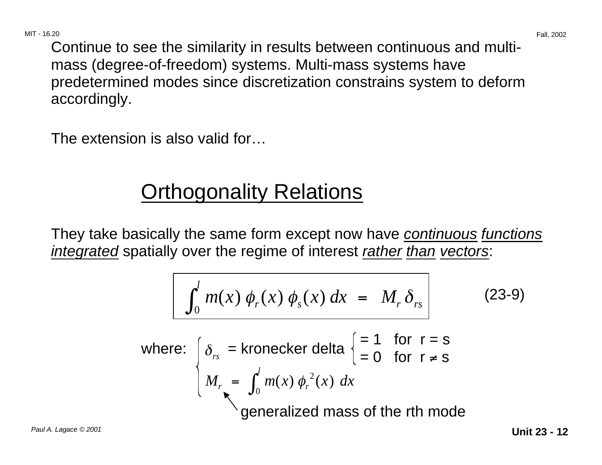Continue to see the similarity in results between continuous and multimass (degree-of-freedom) systems. Multi-mass systems have predetermined modes since discretization constrains system to deform accordingly.

The extension is also valid for…

# **Orthogonality Relations**

They take basically the same form except now have *continuous functions* integrated spatially over the regime of interest rather than vectors:

$$
\int_0^l m(x) \phi_r(x) \phi_s(x) dx = M_r \delta_{rs}
$$
 (23-9)

where: 
$$
\begin{cases} \delta_{rs} = \text{kronecker delta} \begin{cases} = 1 & \text{for } r = s \\ = 0 & \text{for } r \neq s \end{cases} \\ M_{r} = \int_{0}^{l} m(x) \phi_{r}^{2}(x) dx \\ \text{generalized mass of the rth mode} \end{cases}
$$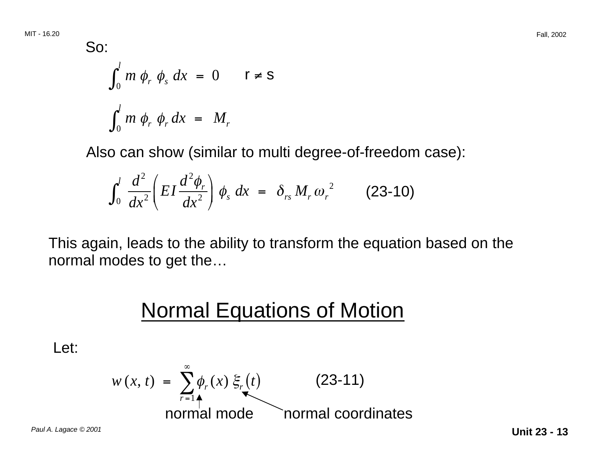So:  
\n
$$
\int_0^l m \phi_r \phi_s dx = 0 \qquad r \neq s
$$
\n
$$
\int_0^l m \phi_r \phi_r dx = M_r
$$

Also can show (similar to multi degree-of-freedom case):

$$
\int_0^l \frac{d^2}{dx^2} \left( EI \frac{d^2 \phi_r}{dx^2} \right) \phi_s dx = \delta_{rs} M_r \omega_r^2 \qquad (23-10)
$$

This again, leads to the ability to transform the equation based on the normal modes to get the…

### **Normal Equations of Motion**

Let:

$$
w(x, t) = \sum_{r=1}^{\infty} \phi_r(x) \xi_r(t)
$$
 (23-11)  
normal mode  
normal coordinates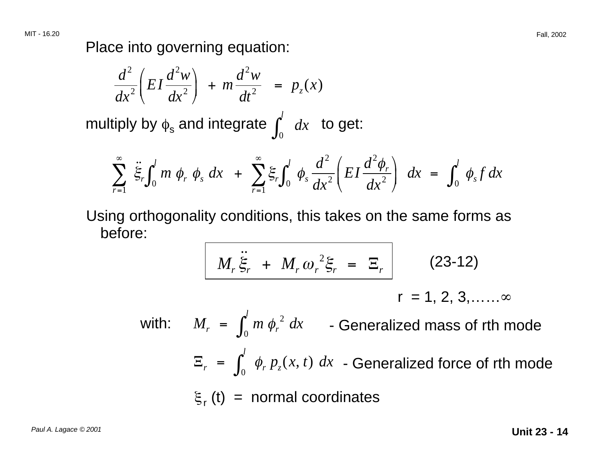Place into governing equation:

$$
\frac{d^2}{dx^2}\left(EI\frac{d^2w}{dx^2}\right) + m\frac{d^2w}{dt^2} = p_z(x)
$$

multiply by  $\phi_{\mathtt{s}}$  and integrate  $\int_0^l\;dx\;$  to get:

$$
\sum_{r=1}^{\infty} \ddot{\xi}_r \int_0^l m \phi_r \phi_s dx + \sum_{r=1}^{\infty} \xi_r \int_0^l \phi_s \frac{d^2}{dx^2} \left( EI \frac{d^2 \phi_r}{dx^2} \right) dx = \int_0^l \phi_s f dx
$$

Using orthogonality conditions, this takes on the same forms as before:

$$
M_r \ddot{\xi}_r + M_r \omega_r^2 \xi_r = \Xi_r \qquad (23-12)
$$

$$
r = 1, 2, 3, \ldots
$$

 $p_{\scriptscriptstyle z}(x,\,t)$ with:  $M_r = \int_0^l m \phi_r^2 dx$  - Generalized mass of rth mode  $E_r = \int_0^l \phi_r p_z(x, t) dx$  - Generalized force of rth mode  $\xi_r$  (t) = normal coordinates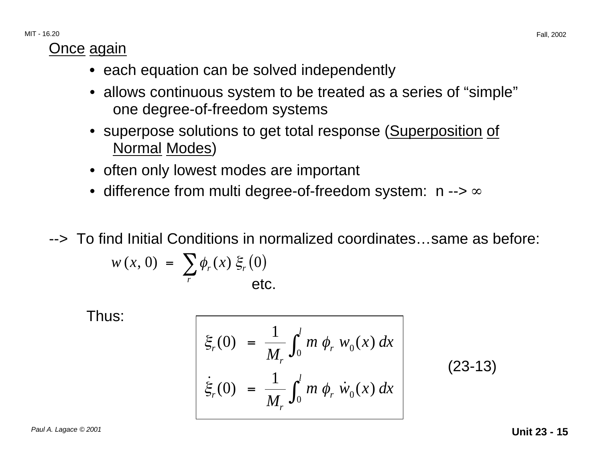### **Once again**

- each equation can be solved independently
- allows continuous system to be treated as a series of "simple" one degree-of-freedom systems
- superpose solutions to get total response (Superposition of Normal Modes)
- often only lowest modes are important
- difference from multi degree-of-freedom system: n --> ∞
- --> To find Initial Conditions in normalized coordinates…same as before:

$$
w(x, 0) = \sum_{r} \phi_r(x) \xi_r(0)
$$
etc.

Thus:

$$
\begin{cases}\n\xi_r(0) = \frac{1}{M_r} \int_0^l m \phi_r w_0(x) dx \\
\dot{\xi}_r(0) = \frac{1}{M_r} \int_0^l m \phi_r \dot{w}_0(x) dx\n\end{cases}
$$
\n(23-13)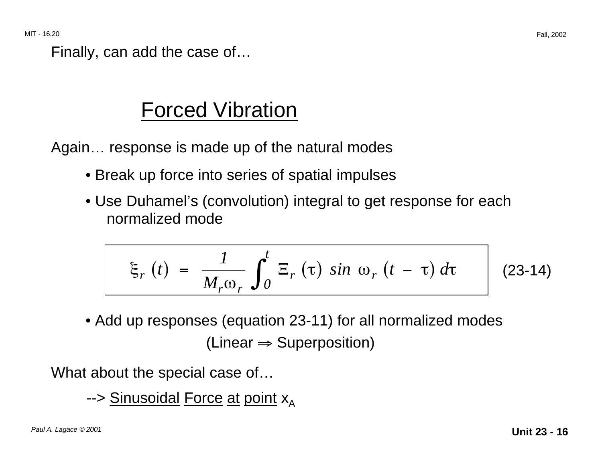Finally, can add the case of…

### Forced Vibration

Again… response is made up of the natural modes

- Break up force into series of spatial impulses
- Use Duhamel's (convolution) integral to get response for each normalized mode

$$
\xi_r(t) = \frac{1}{M_r \omega_r} \int_0^t \Xi_r(\tau) \sin \omega_r(t - \tau) d\tau
$$
 (23-14)

• Add up responses (equation 23-11) for all normalized modes  $(Linear \Rightarrow Superposition)$ 

What about the special case of…

--> Sinusoidal Force at point  $x_A$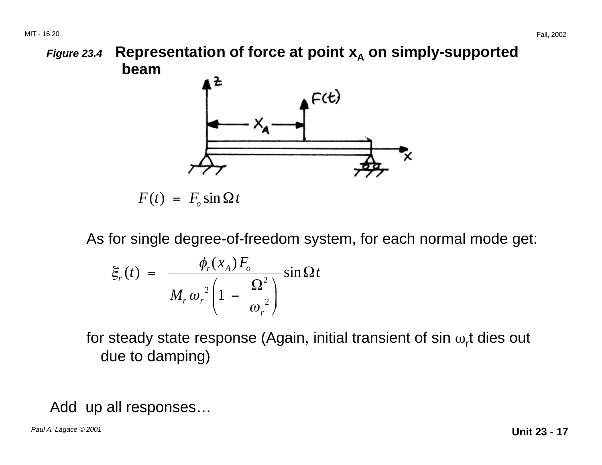**Figure 23.4 Representation of force at point**  $x_A$  **on simply-supported beam** 



 $F(t) = F_0 \sin \Omega t$ 

As for single degree-of-freedom system, for each normal mode get:

$$
\xi_r(t) = \frac{\phi_r(x_A) F_o}{M_r \omega_r^2 \left(1 - \frac{\Omega^2}{\omega_r^2}\right)} \sin \Omega t
$$

for steady state response (Again, initial transient of sin  $\omega_r$ t dies out due to damping)

Add up all responses…

Paul A. Lagace © 2001 **Unit 23 - 17**